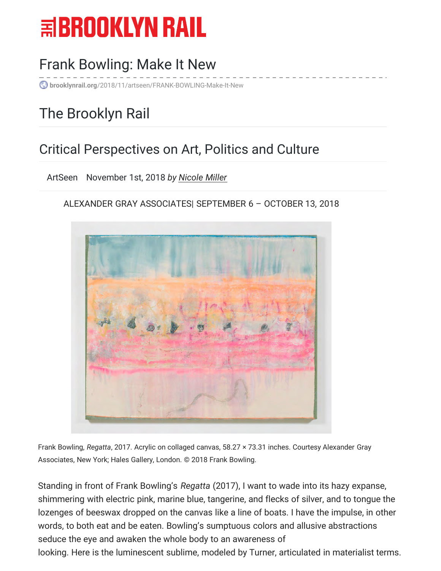# $\equiv$ BROOKLYN RAIL

## [Frank Bowling: Make It New](https://brooklynrail.org/2018/11/artseen/FRANK-BOWLING-Make-It-New)

**brooklynrail.org**/2018/11/artseen/FRANK-BOWLING-Make-It-New

## The Brooklyn Rail

#### Critical Perspectives on Art, Politics and Culture

ArtSeen November 1st, 2018 *by [Nicole Miller](https://brooklynrail.org/contributor/Nicole-Miller)*

#### ALEXANDER GRAY ASSOCIATES| SEPTEMBER 6 – OCTOBER 13, 2018



Frank Bowling, *Regatta*, 2017. Acrylic on collaged canvas, 58.27 × 73.31 inches. Courtesy Alexander Gray Associates, New York; Hales Gallery, London. © 2018 Frank Bowling.

Standing in front of Frank Bowling's *Regatta* (2017), I want to wade into its hazy expanse, shimmering with electric pink, marine blue, tangerine, and flecks of silver, and to tongue the lozenges of beeswax dropped on the canvas like a line of boats. I have the impulse, in other words, to both eat and be eaten. Bowling's sumptuous colors and allusive abstractions seduce the eye and awaken the whole body to an awareness of looking. Here is the luminescent sublime, modeled by Turner, articulated in materialist terms.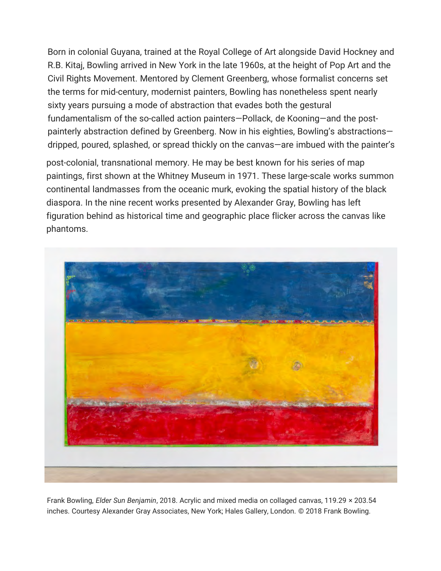Born in colonial Guyana, trained at the Royal College of Art alongside David Hockney and R.B. Kitaj, Bowling arrived in New York in the late 1960s, at the height of Pop Art and the Civil Rights Movement. Mentored by Clement Greenberg, whose formalist concerns set the terms for mid-century, modernist painters, Bowling has nonetheless spent nearly sixty years pursuing a mode of abstraction that evades both the gestural fundamentalism of the so-called action painters—Pollack, de Kooning—and the postpainterly abstraction defined by Greenberg. Now in his eighties, Bowling's abstractions dripped, poured, splashed, or spread thickly on the canvas—are imbued with the painter's

post-colonial, transnational memory. He may be best known for his series of map paintings, first shown at the Whitney Museum in 1971. These large-scale works summon continental landmasses from the oceanic murk, evoking the spatial history of the black diaspora. In the nine recent works presented by Alexander Gray, Bowling has left figuration behind as historical time and geographic place flicker across the canvas like phantoms.



Frank Bowling, *Elder Sun Benjamin*, 2018. Acrylic and mixed media on collaged canvas, 119.29 × 203.54 inches. Courtesy Alexander Gray Associates, New York; Hales Gallery, London. © 2018 Frank Bowling.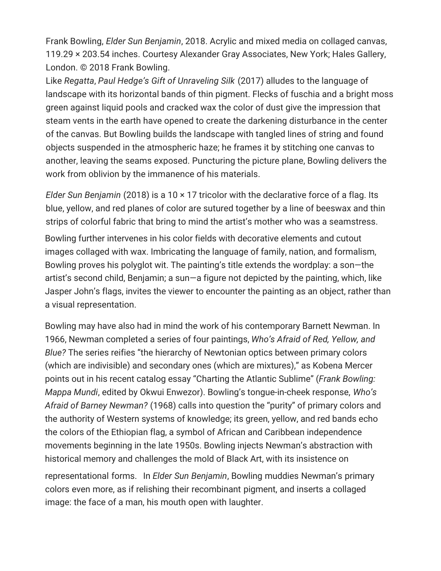Frank Bowling, *Elder Sun Benjamin*, 2018. Acrylic and mixed media on collaged canvas, 119.29 × 203.54 inches. Courtesy Alexander Gray Associates, New York; Hales Gallery, London. © 2018 Frank Bowling.

Like *Regatta*, *Paul Hedge's Gift of Unraveling Silk* (2017) alludes to the language of landscape with its horizontal bands of thin pigment. Flecks of fuschia and a bright moss green against liquid pools and cracked wax the color of dust give the impression that steam vents in the earth have opened to create the darkening disturbance in the center of the canvas. But Bowling builds the landscape with tangled lines of string and found objects suspended in the atmospheric haze; he frames it by stitching one canvas to another, leaving the seams exposed. Puncturing the picture plane, Bowling delivers the work from oblivion by the immanence of his materials.

*Elder Sun Benjamin* (2018) is a 10 × 17 tricolor with the declarative force of a flag. Its blue, yellow, and red planes of color are sutured together by a line of beeswax and thin strips of colorful fabric that bring to mind the artist's mother who was a seamstress.

Bowling further intervenes in his color fields with decorative elements and cutout images collaged with wax. Imbricating the language of family, nation, and formalism, Bowling proves his polyglot wit. The painting's title extends the wordplay: a son—the artist's second child, Benjamin; a sun—a figure not depicted by the painting, which, like Jasper John's flags, invites the viewer to encounter the painting as an object, rather than a visual representation.

Bowling may have also had in mind the work of his contemporary Barnett Newman. In 1966, Newman completed a series of four paintings, *Who's Afraid of Red, Yellow, and Blue?* The series reifies "the hierarchy of Newtonian optics between primary colors (which are indivisible) and secondary ones (which are mixtures)," as Kobena Mercer points out in his recent catalog essay "Charting the Atlantic Sublime" (*Frank Bowling: Mappa Mundi*, edited by Okwui Enwezor). Bowling's tongue-in-cheek response, *Who's Afraid of Barney Newman?* (1968) calls into question the "purity" of primary colors and the authority of Western systems of knowledge; its green, yellow, and red bands echo the colors of the Ethiopian flag, a symbol of African and Caribbean independence movements beginning in the late 1950s. Bowling injects Newman's abstraction with historical memory and challenges the mold of Black Art, with its insistence on

representational forms. In *Elder Sun Benjamin*, Bowling muddies Newman's primary colors even more, as if relishing their recombinant pigment, and inserts a collaged image: the face of a man, his mouth open with laughter.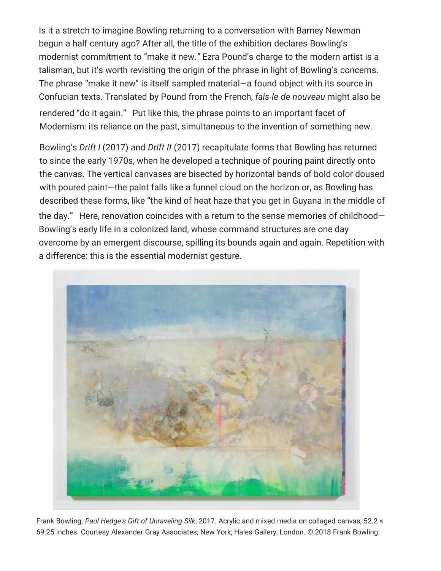Is it a stretch to imagine Bowling returning to a conversation with Barney Newman begun a half century ago? After all, the title of the exhibition declares Bowling's modernist commitment to "make it new.*"* Ezra Pound's charge to the modern artist is a talisman, but it's worth revisiting the origin of the phrase in light of Bowling's concerns. The phrase "make it new" is itself sampled material—a found object with its source in Confucian texts. Translated by Pound from the French, *fais-le de nouveau* might also be rendered "do it again." Put like this, the phrase points to an important facet of Modernism: its reliance on the past, simultaneous to the invention of something new.

Bowling's *Drift I* (2017) and *Drift II* (2017) recapitulate forms that Bowling has returned to since the early 1970s, when he developed a technique of pouring paint directly onto the canvas. The vertical canvases are bisected by horizontal bands of bold color doused with poured paint—the paint falls like a funnel cloud on the horizon or, as Bowling has described these forms, like "the kind of heat haze that you get in Guyana in the middle of the day." Here, renovation coincides with a return to the sense memories of childhood— Bowling's early life in a colonized land, whose command structures are one day overcome by an emergent discourse, spilling its bounds again and again. Repetition with a difference: this is the essential modernist gesture.



Frank Bowling, *Paul Hedge's Gift of Unraveling Silk*, 2017. Acrylic and mixed media on collaged canvas, 52.2 × 69.25 inches. Courtesy Alexander Gray Associates, New York; Hales Gallery, London. © 2018 Frank Bowling.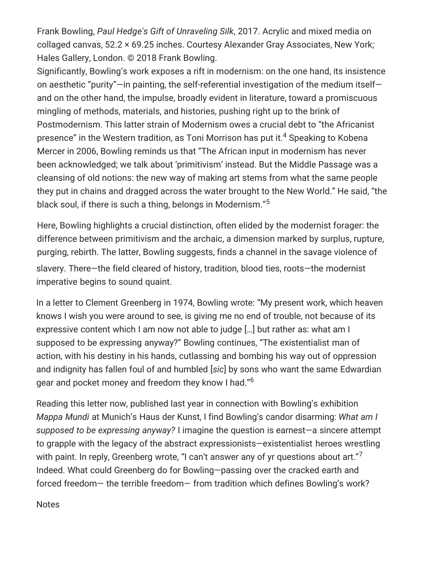Frank Bowling, *Paul Hedge's Gift of Unraveling Silk*, 2017. Acrylic and mixed media on collaged canvas, 52.2 × 69.25 inches. Courtesy Alexander Gray Associates, New York; Hales Gallery, London. © 2018 Frank Bowling.

Significantly, Bowling's work exposes a rift in modernism: on the one hand, its insistence on aesthetic "purity"—in painting, the self-referential investigation of the medium itself and on the other hand, the impulse, broadly evident in literature, toward a promiscuous mingling of methods, materials, and histories, pushing right up to the brink of Postmodernism. This latter strain of Modernism owes a crucial debt to "the Africanist presence" in the Western tradition, as Toni Morrison has put it.<sup>4</sup> Speaking to Kobena Mercer in 2006, Bowling reminds us that "The African input in modernism has never been acknowledged; we talk about 'primitivism' instead. But the Middle Passage was a cleansing of old notions: the new way of making art stems from what the same people they put in chains and dragged across the water brought to the New World." He said, "the black soul, if there is such a thing, belongs in Modernism."<sup>5</sup>

Here, Bowling highlights a crucial distinction, often elided by the modernist forager: the difference between primitivism and the archaic, a dimension marked by surplus, rupture, purging, rebirth. The latter, Bowling suggests, finds a channel in the savage violence of slavery. There—the field cleared of history, tradition, blood ties, roots—the modernist imperative begins to sound quaint.

In a letter to Clement Greenberg in 1974, Bowling wrote: "My present work, which heaven knows I wish you were around to see, is giving me no end of trouble, not because of its expressive content which I am now not able to judge […] but rather as: what am I supposed to be expressing anyway?" Bowling continues, "The existentialist man of action, with his destiny in his hands, cutlassing and bombing his way out of oppression and indignity has fallen foul of and humbled [*sic*] by sons who want the same Edwardian gear and pocket money and freedom they know I had."<sup>6</sup>

Reading this letter now, published last year in connection with Bowling's exhibition *Mappa Mundi* at Munich's Haus der Kunst, I find Bowling's candor disarming: *What am I supposed to be expressing anyway?* I imagine the question is earnest—a sincere attempt to grapple with the legacy of the abstract expressionists—existentialist heroes wrestling with paint. In reply, Greenberg wrote, "I can't answer any of yr questions about art."<sup>7</sup> Indeed. What could Greenberg do for Bowling—passing over the cracked earth and forced freedom— the terrible freedom— from tradition which defines Bowling's work?

**Notes**